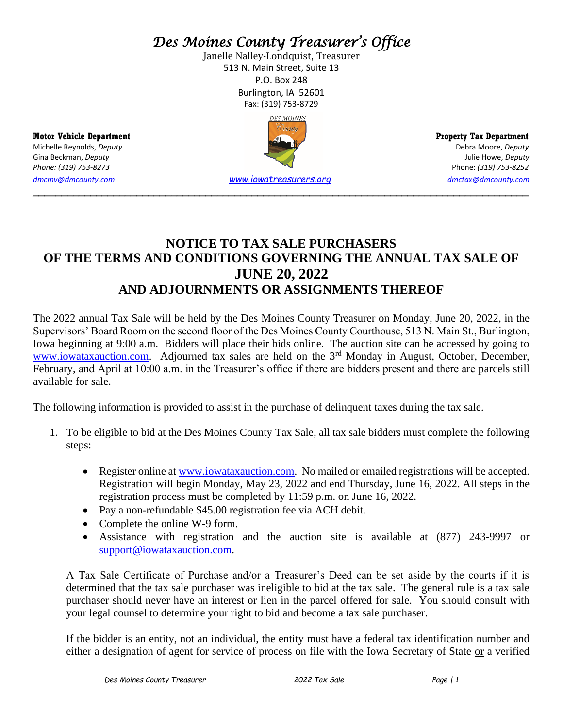# *Des Moines County Treasurer's Office*

Janelle Nalley-Londquist, Treasurer 513 N. Main Street, Suite 13 P.O. Box 248 Burlington, IA 52601 Fax: (319) 753-8729



## **NOTICE TO TAX SALE PURCHASERS OF THE TERMS AND CONDITIONS GOVERNING THE ANNUAL TAX SALE OF JUNE 20, 2022 AND ADJOURNMENTS OR ASSIGNMENTS THEREOF**

The 2022 annual Tax Sale will be held by the Des Moines County Treasurer on Monday, June 20, 2022, in the Supervisors' Board Room on the second floor of the Des Moines County Courthouse, 513 N. Main St., Burlington, Iowa beginning at 9:00 a.m. Bidders will place their bids online. The auction site can be accessed by going to [www.iowataxauction.com.](http://www.iowataxauction.com/) Adjourned tax sales are held on the 3<sup>rd</sup> Monday in August, October, December, February, and April at 10:00 a.m. in the Treasurer's office if there are bidders present and there are parcels still available for sale.

The following information is provided to assist in the purchase of delinquent taxes during the tax sale.

- 1. To be eligible to bid at the Des Moines County Tax Sale, all tax sale bidders must complete the following steps:
	- Register online at [www.iowataxauction.com.](http://www.iowataxauction.com/) No mailed or emailed registrations will be accepted. Registration will begin Monday, May 23, 2022 and end Thursday, June 16, 2022. All steps in the registration process must be completed by 11:59 p.m. on June 16, 2022.
	- Pay a non-refundable \$45.00 registration fee via ACH debit.
	- Complete the online W-9 form.
	- Assistance with registration and the auction site is available at (877) 243-9997 or [support@iowataxauction.com.](mailto:support@iowataxauction.com)

A Tax Sale Certificate of Purchase and/or a Treasurer's Deed can be set aside by the courts if it is determined that the tax sale purchaser was ineligible to bid at the tax sale. The general rule is a tax sale purchaser should never have an interest or lien in the parcel offered for sale. You should consult with your legal counsel to determine your right to bid and become a tax sale purchaser.

If the bidder is an entity, not an individual, the entity must have a federal tax identification number and either a designation of agent for service of process on file with the Iowa Secretary of State or a verified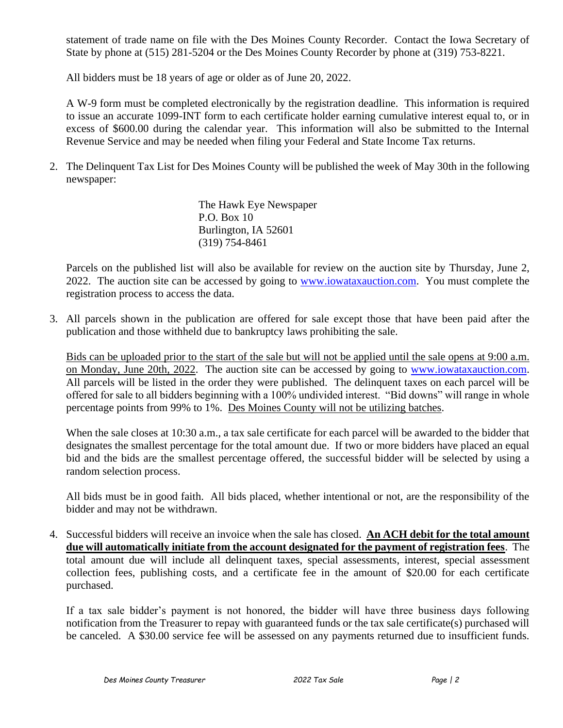statement of trade name on file with the Des Moines County Recorder. Contact the Iowa Secretary of State by phone at (515) 281-5204 or the Des Moines County Recorder by phone at (319) 753-8221.

All bidders must be 18 years of age or older as of June 20, 2022.

A W-9 form must be completed electronically by the registration deadline. This information is required to issue an accurate 1099-INT form to each certificate holder earning cumulative interest equal to, or in excess of \$600.00 during the calendar year. This information will also be submitted to the Internal Revenue Service and may be needed when filing your Federal and State Income Tax returns.

2. The Delinquent Tax List for Des Moines County will be published the week of May 30th in the following newspaper:

> The Hawk Eye Newspaper P.O. Box 10 Burlington, IA 52601 (319) 754-8461

Parcels on the published list will also be available for review on the auction site by Thursday, June 2, 2022. The auction site can be accessed by going to [www.iowataxauction.com.](http://www.iowataxauction.com/) You must complete the registration process to access the data.

3. All parcels shown in the publication are offered for sale except those that have been paid after the publication and those withheld due to bankruptcy laws prohibiting the sale.

Bids can be uploaded prior to the start of the sale but will not be applied until the sale opens at 9:00 a.m. on Monday, June 20th, 2022. The auction site can be accessed by going to [www.iowataxauction.com.](http://www.iowataxauction.com/) All parcels will be listed in the order they were published. The delinquent taxes on each parcel will be offered for sale to all bidders beginning with a 100% undivided interest. "Bid downs" will range in whole percentage points from 99% to 1%. Des Moines County will not be utilizing batches.

When the sale closes at 10:30 a.m., a tax sale certificate for each parcel will be awarded to the bidder that designates the smallest percentage for the total amount due. If two or more bidders have placed an equal bid and the bids are the smallest percentage offered, the successful bidder will be selected by using a random selection process.

All bids must be in good faith. All bids placed, whether intentional or not, are the responsibility of the bidder and may not be withdrawn.

4. Successful bidders will receive an invoice when the sale has closed. **An ACH debit for the total amount due will automatically initiate from the account designated for the payment of registration fees**. The total amount due will include all delinquent taxes, special assessments, interest, special assessment collection fees, publishing costs, and a certificate fee in the amount of \$20.00 for each certificate purchased.

If a tax sale bidder's payment is not honored, the bidder will have three business days following notification from the Treasurer to repay with guaranteed funds or the tax sale certificate(s) purchased will be canceled. A \$30.00 service fee will be assessed on any payments returned due to insufficient funds.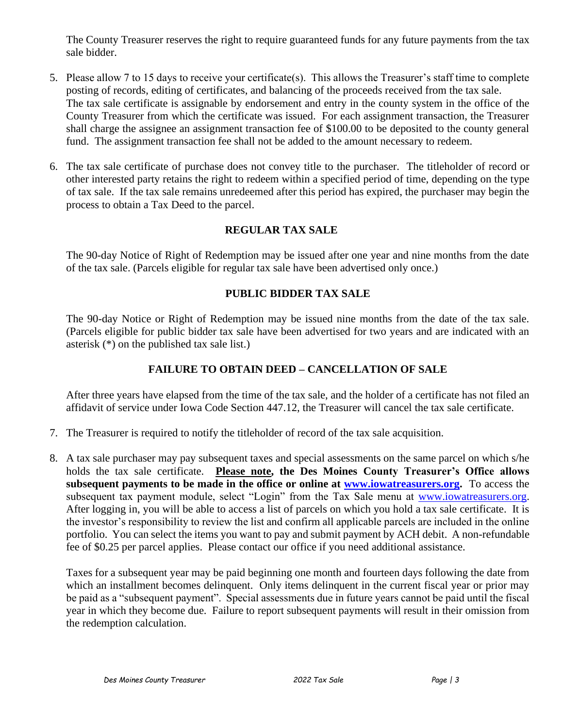The County Treasurer reserves the right to require guaranteed funds for any future payments from the tax sale bidder.

- 5. Please allow 7 to 15 days to receive your certificate(s). This allows the Treasurer's staff time to complete posting of records, editing of certificates, and balancing of the proceeds received from the tax sale. The tax sale certificate is assignable by endorsement and entry in the county system in the office of the County Treasurer from which the certificate was issued. For each assignment transaction, the Treasurer shall charge the assignee an assignment transaction fee of \$100.00 to be deposited to the county general fund. The assignment transaction fee shall not be added to the amount necessary to redeem.
- 6. The tax sale certificate of purchase does not convey title to the purchaser. The titleholder of record or other interested party retains the right to redeem within a specified period of time, depending on the type of tax sale. If the tax sale remains unredeemed after this period has expired, the purchaser may begin the process to obtain a Tax Deed to the parcel.

#### **REGULAR TAX SALE**

The 90-day Notice of Right of Redemption may be issued after one year and nine months from the date of the tax sale. (Parcels eligible for regular tax sale have been advertised only once.)

#### **PUBLIC BIDDER TAX SALE**

The 90-day Notice or Right of Redemption may be issued nine months from the date of the tax sale. (Parcels eligible for public bidder tax sale have been advertised for two years and are indicated with an asterisk (\*) on the published tax sale list.)

### **FAILURE TO OBTAIN DEED – CANCELLATION OF SALE**

After three years have elapsed from the time of the tax sale, and the holder of a certificate has not filed an affidavit of service under Iowa Code Section 447.12, the Treasurer will cancel the tax sale certificate.

- 7. The Treasurer is required to notify the titleholder of record of the tax sale acquisition.
- 8. A tax sale purchaser may pay subsequent taxes and special assessments on the same parcel on which s/he holds the tax sale certificate. **Please note, the Des Moines County Treasurer's Office allows subsequent payments to be made in the office or online at [www.iowatreasurers.org.](http://www.iowatreasurers.org/)** To access the subsequent tax payment module, select "Login" from the Tax Sale menu at [www.iowatreasurers.org.](http://www.iowatreasurers.org/) After logging in, you will be able to access a list of parcels on which you hold a tax sale certificate. It is the investor's responsibility to review the list and confirm all applicable parcels are included in the online portfolio. You can select the items you want to pay and submit payment by ACH debit. A non-refundable fee of \$0.25 per parcel applies. Please contact our office if you need additional assistance.

Taxes for a subsequent year may be paid beginning one month and fourteen days following the date from which an installment becomes delinquent. Only items delinquent in the current fiscal year or prior may be paid as a "subsequent payment". Special assessments due in future years cannot be paid until the fiscal year in which they become due. Failure to report subsequent payments will result in their omission from the redemption calculation.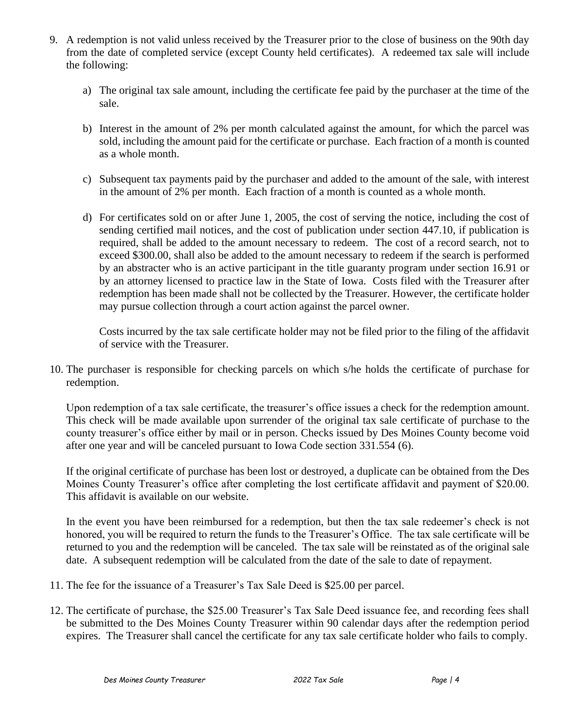- 9. A redemption is not valid unless received by the Treasurer prior to the close of business on the 90th day from the date of completed service (except County held certificates). A redeemed tax sale will include the following:
	- a) The original tax sale amount, including the certificate fee paid by the purchaser at the time of the sale.
	- b) Interest in the amount of 2% per month calculated against the amount, for which the parcel was sold, including the amount paid for the certificate or purchase. Each fraction of a month is counted as a whole month.
	- c) Subsequent tax payments paid by the purchaser and added to the amount of the sale, with interest in the amount of 2% per month. Each fraction of a month is counted as a whole month.
	- d) For certificates sold on or after June 1, 2005, the cost of serving the notice, including the cost of sending certified mail notices, and the cost of publication under section 447.10, if publication is required, shall be added to the amount necessary to redeem. The cost of a record search, not to exceed \$300.00, shall also be added to the amount necessary to redeem if the search is performed by an abstracter who is an active participant in the title guaranty program under section 16.91 or by an attorney licensed to practice law in the State of Iowa. Costs filed with the Treasurer after redemption has been made shall not be collected by the Treasurer. However, the certificate holder may pursue collection through a court action against the parcel owner.

Costs incurred by the tax sale certificate holder may not be filed prior to the filing of the affidavit of service with the Treasurer.

10. The purchaser is responsible for checking parcels on which s/he holds the certificate of purchase for redemption.

Upon redemption of a tax sale certificate, the treasurer's office issues a check for the redemption amount. This check will be made available upon surrender of the original tax sale certificate of purchase to the county treasurer's office either by mail or in person. Checks issued by Des Moines County become void after one year and will be canceled pursuant to Iowa Code section 331.554 (6).

If the original certificate of purchase has been lost or destroyed, a duplicate can be obtained from the Des Moines County Treasurer's office after completing the lost certificate affidavit and payment of \$20.00. This affidavit is available on our website.

In the event you have been reimbursed for a redemption, but then the tax sale redeemer's check is not honored, you will be required to return the funds to the Treasurer's Office. The tax sale certificate will be returned to you and the redemption will be canceled. The tax sale will be reinstated as of the original sale date. A subsequent redemption will be calculated from the date of the sale to date of repayment.

- 11. The fee for the issuance of a Treasurer's Tax Sale Deed is \$25.00 per parcel.
- 12. The certificate of purchase, the \$25.00 Treasurer's Tax Sale Deed issuance fee, and recording fees shall be submitted to the Des Moines County Treasurer within 90 calendar days after the redemption period expires. The Treasurer shall cancel the certificate for any tax sale certificate holder who fails to comply.